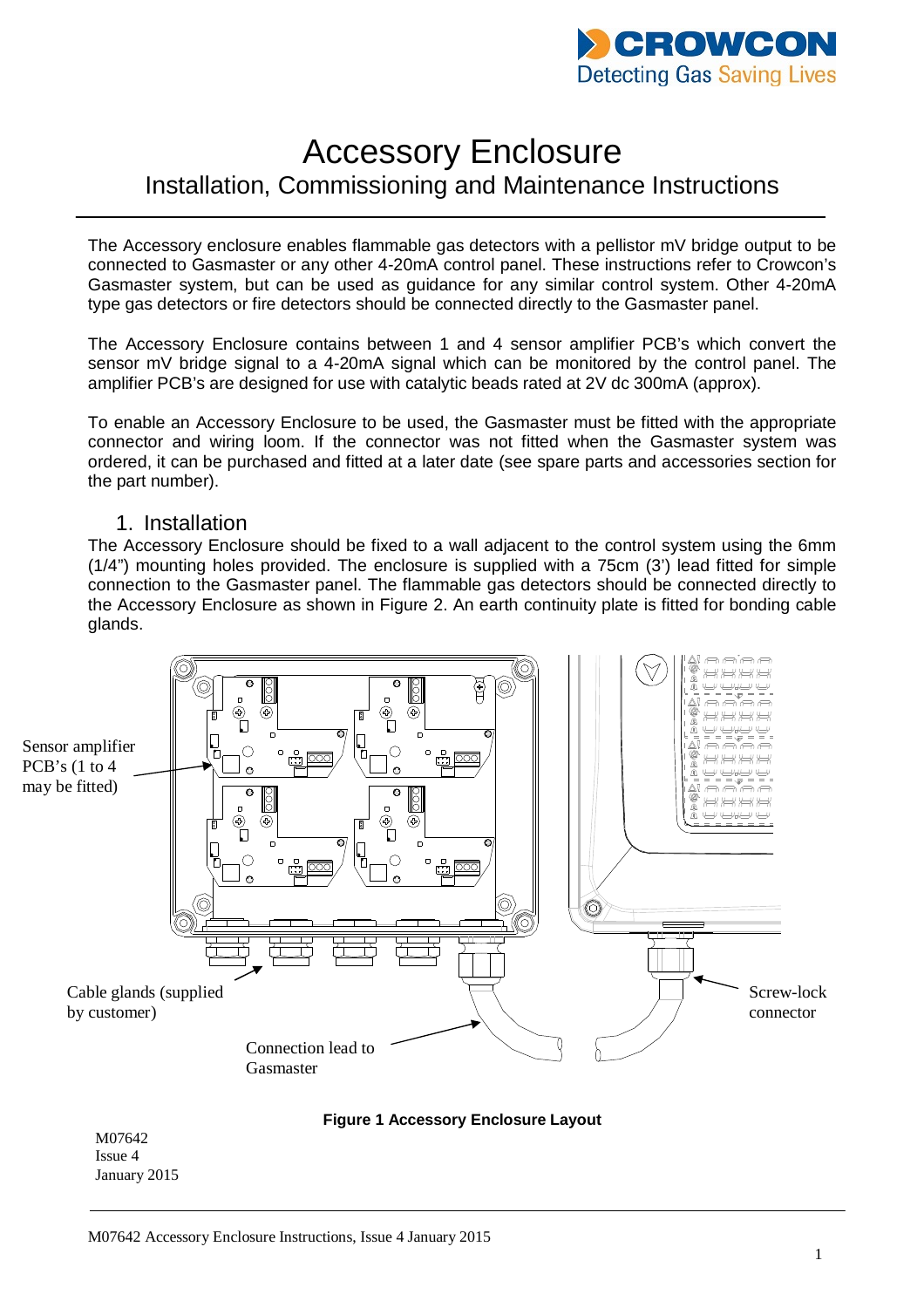

# Accessory Enclosure Installation, Commissioning and Maintenance Instructions

The Accessory enclosure enables flammable gas detectors with a pellistor mV bridge output to be connected to Gasmaster or any other 4-20mA control panel. These instructions refer to Crowcon's Gasmaster system, but can be used as guidance for any similar control system. Other 4-20mA type gas detectors or fire detectors should be connected directly to the Gasmaster panel.

The Accessory Enclosure contains between 1 and 4 sensor amplifier PCB's which convert the sensor mV bridge signal to a 4-20mA signal which can be monitored by the control panel. The amplifier PCB's are designed for use with catalytic beads rated at 2V dc 300mA (approx).

To enable an Accessory Enclosure to be used, the Gasmaster must be fitted with the appropriate connector and wiring loom. If the connector was not fitted when the Gasmaster system was ordered, it can be purchased and fitted at a later date (see spare parts and accessories section for the part number).

### 1. Installation

The Accessory Enclosure should be fixed to a wall adjacent to the control system using the 6mm (1/4") mounting holes provided. The enclosure is supplied with a 75cm (3') lead fitted for simple connection to the Gasmaster panel. The flammable gas detectors should be connected directly to the Accessory Enclosure as shown in Figure 2. An earth continuity plate is fitted for bonding cable glands.





M07642 Issue 4 January 2015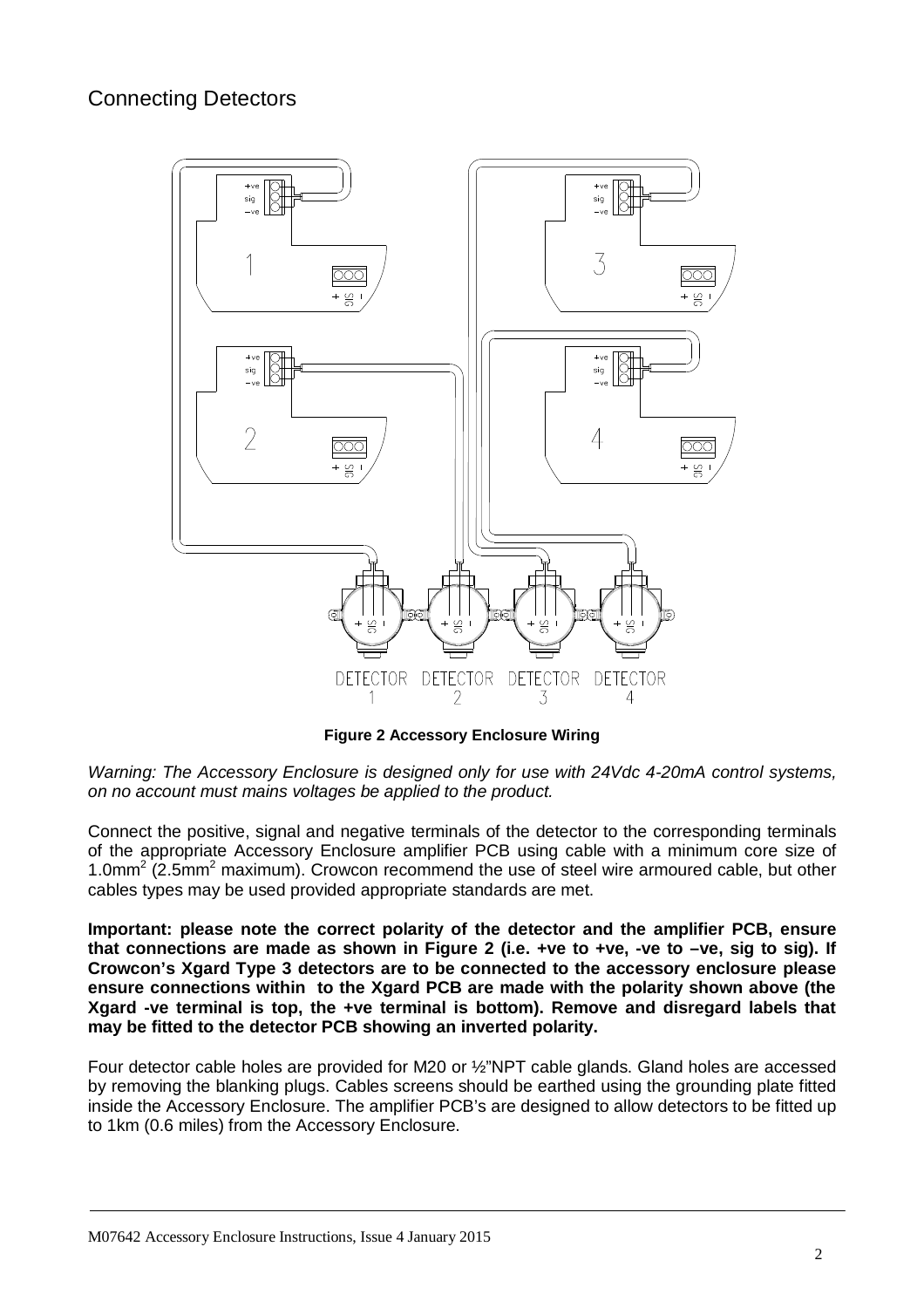# Connecting Detectors



**Figure 2 Accessory Enclosure Wiring**

*Warning: The Accessory Enclosure is designed only for use with 24Vdc 4-20mA control systems, on no account must mains voltages be applied to the product.* 

Connect the positive, signal and negative terminals of the detector to the corresponding terminals of the appropriate Accessory Enclosure amplifier PCB using cable with a minimum core size of 1.0mm<sup>2</sup> (2.5mm<sup>2</sup> maximum). Crowcon recommend the use of steel wire armoured cable, but other cables types may be used provided appropriate standards are met.

**Important: please note the correct polarity of the detector and the amplifier PCB, ensure that connections are made as shown in Figure 2 (i.e. +ve to +ve, -ve to –ve, sig to sig). If Crowcon's Xgard Type 3 detectors are to be connected to the accessory enclosure please ensure connections within to the Xgard PCB are made with the polarity shown above (the Xgard -ve terminal is top, the +ve terminal is bottom). Remove and disregard labels that may be fitted to the detector PCB showing an inverted polarity.**

Four detector cable holes are provided for M20 or ½"NPT cable glands. Gland holes are accessed by removing the blanking plugs. Cables screens should be earthed using the grounding plate fitted inside the Accessory Enclosure. The amplifier PCB's are designed to allow detectors to be fitted up to 1km (0.6 miles) from the Accessory Enclosure.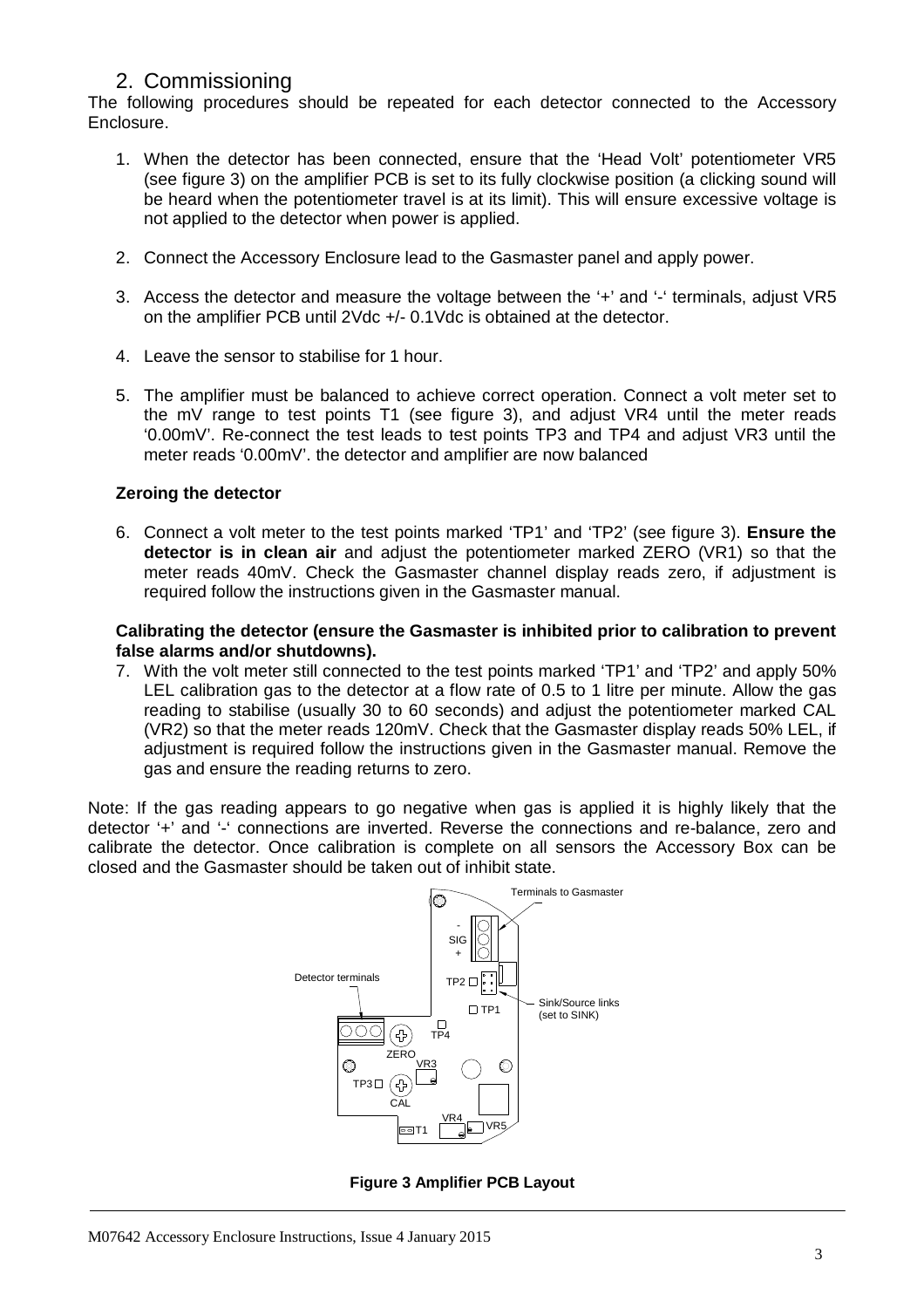# 2. Commissioning

The following procedures should be repeated for each detector connected to the Accessory Enclosure.

- 1. When the detector has been connected, ensure that the 'Head Volt' potentiometer VR5 (see figure 3) on the amplifier PCB is set to its fully clockwise position (a clicking sound will be heard when the potentiometer travel is at its limit). This will ensure excessive voltage is not applied to the detector when power is applied.
- 2. Connect the Accessory Enclosure lead to the Gasmaster panel and apply power.
- 3. Access the detector and measure the voltage between the '+' and '-' terminals, adjust VR5 on the amplifier PCB until 2Vdc +/- 0.1Vdc is obtained at the detector.
- 4. Leave the sensor to stabilise for 1 hour.
- 5. The amplifier must be balanced to achieve correct operation. Connect a volt meter set to the mV range to test points T1 (see figure 3), and adjust VR4 until the meter reads '0.00mV'. Re-connect the test leads to test points TP3 and TP4 and adjust VR3 until the meter reads '0.00mV'. the detector and amplifier are now balanced

### **Zeroing the detector**

6. Connect a volt meter to the test points marked 'TP1' and 'TP2' (see figure 3). **Ensure the detector is in clean air** and adjust the potentiometer marked ZERO (VR1) so that the meter reads 40mV. Check the Gasmaster channel display reads zero, if adjustment is required follow the instructions given in the Gasmaster manual.

### **Calibrating the detector (ensure the Gasmaster is inhibited prior to calibration to prevent false alarms and/or shutdowns).**

7. With the volt meter still connected to the test points marked 'TP1' and 'TP2' and apply 50% LEL calibration gas to the detector at a flow rate of 0.5 to 1 litre per minute. Allow the gas reading to stabilise (usually 30 to 60 seconds) and adjust the potentiometer marked CAL (VR2) so that the meter reads 120mV. Check that the Gasmaster display reads 50% LEL, if adjustment is required follow the instructions given in the Gasmaster manual. Remove the gas and ensure the reading returns to zero.

Note: If the gas reading appears to go negative when gas is applied it is highly likely that the detector '+' and '-' connections are inverted. Reverse the connections and re-balance, zero and calibrate the detector. Once calibration is complete on all sensors the Accessory Box can be closed and the Gasmaster should be taken out of inhibit state.



**Figure 3 Amplifier PCB Layout**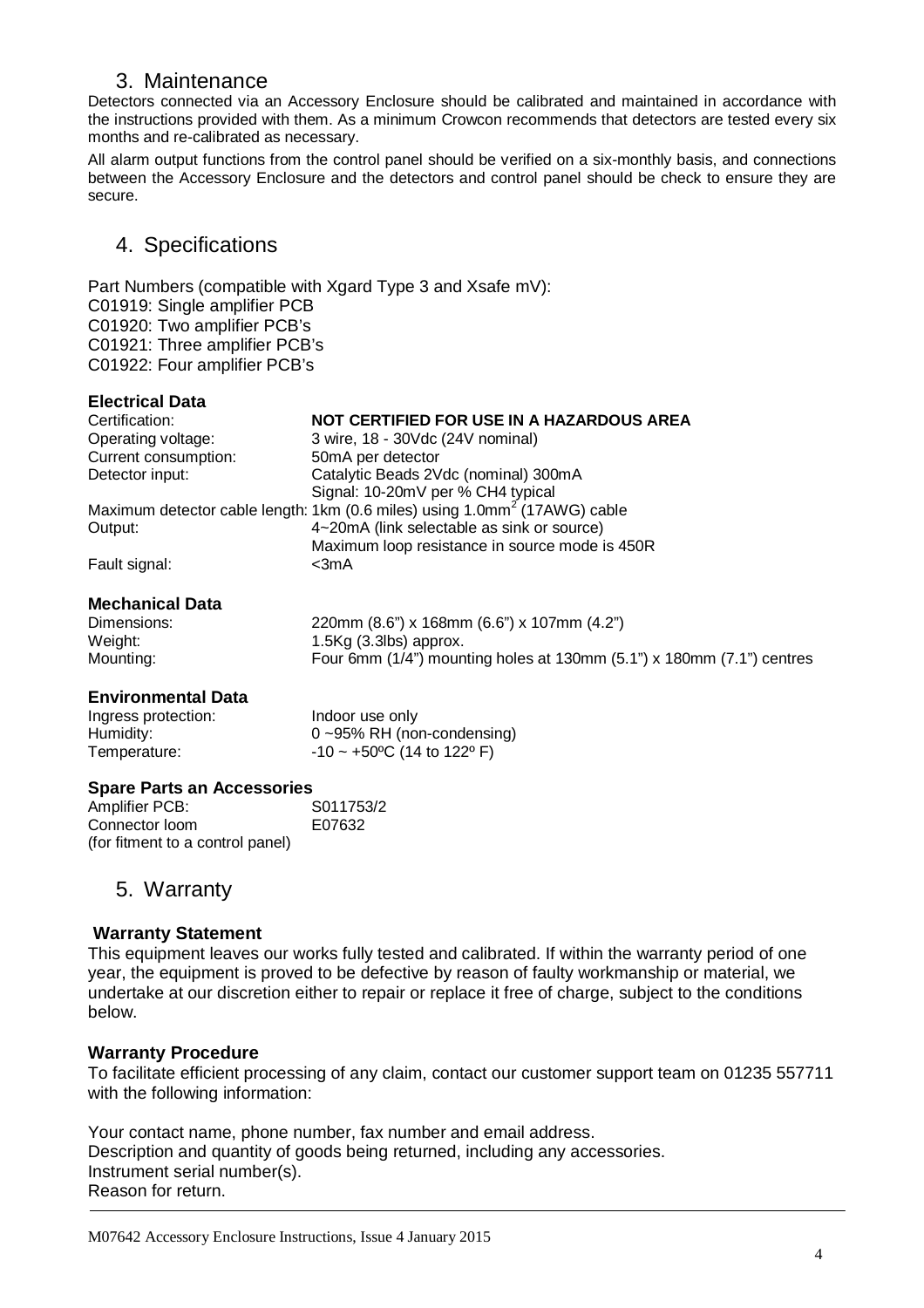# 3. Maintenance

Detectors connected via an Accessory Enclosure should be calibrated and maintained in accordance with the instructions provided with them. As a minimum Crowcon recommends that detectors are tested every six months and re-calibrated as necessary.

All alarm output functions from the control panel should be verified on a six-monthly basis, and connections between the Accessory Enclosure and the detectors and control panel should be check to ensure they are secure.

# 4. Specifications

Part Numbers (compatible with Xgard Type 3 and Xsafe mV): C01919: Single amplifier PCB C01920: Two amplifier PCB's C01921: Three amplifier PCB's C01922: Four amplifier PCB's

### **Electrical Data**

| Certification:       | NOT CERTIFIED FOR USE IN A HAZARDOUS AREA                                             |
|----------------------|---------------------------------------------------------------------------------------|
| Operating voltage:   | 3 wire, 18 - 30Vdc (24V nominal)                                                      |
| Current consumption: | 50mA per detector                                                                     |
| Detector input:      | Catalytic Beads 2Vdc (nominal) 300mA                                                  |
|                      | Signal: 10-20mV per % CH4 typical                                                     |
|                      | Maximum detector cable length: 1km (0.6 miles) using 1.0mm <sup>2</sup> (17AWG) cable |
| Output:              | 4~20mA (link selectable as sink or source)                                            |
|                      | Maximum loop resistance in source mode is 450R                                        |
| Fault signal:        | $<$ 3m $A$                                                                            |

### **Mechanical Data**

| Dimensions: | 220mm (8.6") x 168mm (6.6") x 107mm (4.2")                               |
|-------------|--------------------------------------------------------------------------|
| Weight:     | $1.5\text{Kg}$ (3.3lbs) approx.                                          |
| Mounting:   | Four 6mm $(1/4)$ mounting holes at 130mm $(5.1)$ x 180mm $(7.1)$ centres |

### **Environmental Data**

| Ingress protection: | Indoor use only                                   |
|---------------------|---------------------------------------------------|
| Humidity:           | $0 - 95\%$ RH (non-condensing)                    |
| Temperature:        | $-10 \sim +50^{\circ}$ C (14 to 122 $^{\circ}$ F) |

#### **Spare Parts an Accessories**

Amplifier PCB: S011753/2 Connector loom E07632 (for fitment to a control panel)

## 5. Warranty

### **Warranty Statement**

This equipment leaves our works fully tested and calibrated. If within the warranty period of one year, the equipment is proved to be defective by reason of faulty workmanship or material, we undertake at our discretion either to repair or replace it free of charge, subject to the conditions below.

### **Warranty Procedure**

To facilitate efficient processing of any claim, contact our customer support team on 01235 557711 with the following information:

Your contact name, phone number, fax number and email address. Description and quantity of goods being returned, including any accessories. Instrument serial number(s). Reason for return.